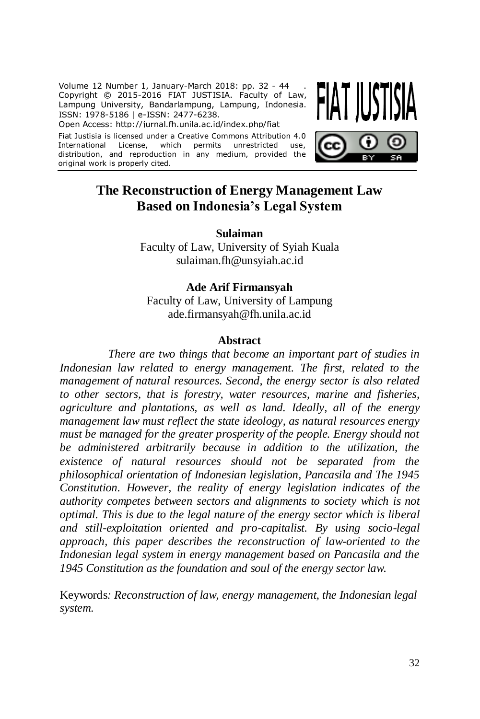Volume 12 Number 1, January-March 2018: pp. 32 - 44 . Copyright © 2015-2016 FIAT JUSTISIA. Faculty of Law, Lampung University, Bandarlampung, Lampung, Indonesia. ISSN: 1978-5186 | e-ISSN: 2477-6238.

Open Access: http://jurnal.fh.unila.ac.id/index.php/fiat

Fiat Justisia is licensed under a Creative Commons Attribution 4.0 International License, which permits unrestricted use, distribution, and reproduction in any medium, provided the original work is properly cited.



# **The Reconstruction of Energy Management Law Based on Indonesia's Legal System**

**Sulaiman** Faculty of Law, University of Syiah Kuala [sulaiman.fh@unsyiah.ac.id](mailto:sulaiman.fh@unsyiah.ac.id)

## **Ade Arif Firmansyah**

Faculty of Law, University of Lampung ade.firmansyah@fh.unila.ac.id

#### **Abstract**

*There are two things that become an important part of studies in Indonesian law related to energy management. The first, related to the management of natural resources. Second, the energy sector is also related to other sectors, that is forestry, water resources, marine and fisheries, agriculture and plantations, as well as land. Ideally, all of the energy management law must reflect the state ideology, as natural resources energy must be managed for the greater prosperity of the people. Energy should not be administered arbitrarily because in addition to the utilization, the existence of natural resources should not be separated from the philosophical orientation of Indonesian legislation, Pancasila and The 1945 Constitution. However, the reality of energy legislation indicates of the authority competes between sectors and alignments to society which is not optimal. This is due to the legal nature of the energy sector which is liberal and still-exploitation oriented and pro-capitalist. By using socio-legal approach, this paper describes the reconstruction of law-oriented to the Indonesian legal system in energy management based on Pancasila and the 1945 Constitution as the foundation and soul of the energy sector law.*

Keywords*: Reconstruction of law, energy management, the Indonesian legal system.*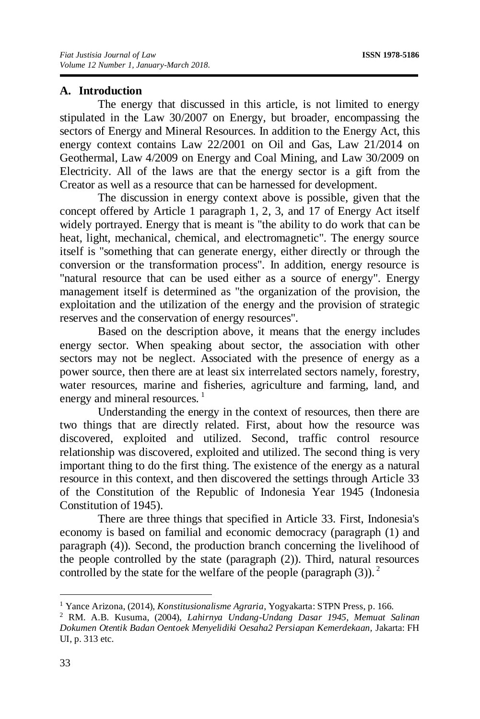## **A. Introduction**

The energy that discussed in this article, is not limited to energy stipulated in the Law 30/2007 on Energy, but broader, encompassing the sectors of Energy and Mineral Resources. In addition to the Energy Act, this energy context contains Law 22/2001 on Oil and Gas, Law 21/2014 on Geothermal, Law 4/2009 on Energy and Coal Mining, and Law 30/2009 on Electricity. All of the laws are that the energy sector is a gift from the Creator as well as a resource that can be harnessed for development.

The discussion in energy context above is possible, given that the concept offered by Article 1 paragraph 1, 2, 3, and 17 of Energy Act itself widely portrayed. Energy that is meant is "the ability to do work that can be heat, light, mechanical, chemical, and electromagnetic". The energy source itself is "something that can generate energy, either directly or through the conversion or the transformation process". In addition, energy resource is "natural resource that can be used either as a source of energy". Energy management itself is determined as "the organization of the provision, the exploitation and the utilization of the energy and the provision of strategic reserves and the conservation of energy resources".

Based on the description above, it means that the energy includes energy sector. When speaking about sector, the association with other sectors may not be neglect. Associated with the presence of energy as a power source, then there are at least six interrelated sectors namely, forestry, water resources, marine and fisheries, agriculture and farming, land, and energy and mineral resources.<sup>1</sup>

Understanding the energy in the context of resources, then there are two things that are directly related. First, about how the resource was discovered, exploited and utilized. Second, traffic control resource relationship was discovered, exploited and utilized. The second thing is very important thing to do the first thing. The existence of the energy as a natural resource in this context, and then discovered the settings through Article 33 of the Constitution of the Republic of Indonesia Year 1945 (Indonesia Constitution of 1945).

There are three things that specified in Article 33. First, Indonesia's economy is based on familial and economic democracy (paragraph (1) and paragraph (4)). Second, the production branch concerning the livelihood of the people controlled by the state (paragraph (2)). Third, natural resources controlled by the state for the welfare of the people (paragraph (3)).<sup>2</sup>

<sup>1</sup> Yance Arizona, (2014), *Konstitusionalisme Agraria*, Yogyakarta: STPN Press, p. 166.

<sup>2</sup> RM. A.B. Kusuma, (2004), *Lahirnya Undang-Undang Dasar 1945, Memuat Salinan Dokumen Otentik Badan Oentoek Menyelidiki Oesaha2 Persiapan Kemerdekaan,* Jakarta: FH UI, p. 313 etc.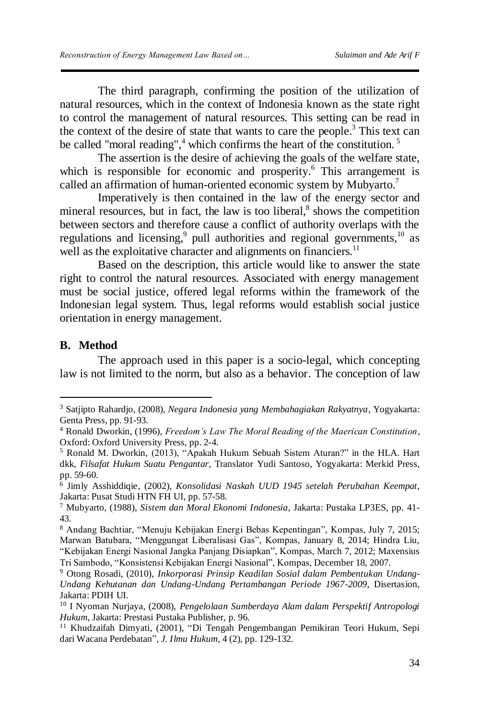The third paragraph, confirming the position of the utilization of natural resources, which in the context of Indonesia known as the state right to control the management of natural resources. This setting can be read in the context of the desire of state that wants to care the people.<sup>3</sup> This text can be called "moral reading",<sup>4</sup> which confirms the heart of the constitution.<sup>5</sup>

The assertion is the desire of achieving the goals of the welfare state, which is responsible for economic and prosperity.<sup>6</sup> This arrangement is called an affirmation of human-oriented economic system by Mubyarto.<sup>7</sup>

Imperatively is then contained in the law of the energy sector and mineral resources, but in fact, the law is too liberal,<sup>8</sup> shows the competition between sectors and therefore cause a conflict of authority overlaps with the regulations and licensing,<sup>9</sup> pull authorities and regional governments,<sup>10</sup> as well as the exploitative character and alignments on financiers. $11$ 

Based on the description, this article would like to answer the state right to control the natural resources. Associated with energy management must be social justice, offered legal reforms within the framework of the Indonesian legal system. Thus, legal reforms would establish social justice orientation in energy management.

## **B. Method**

<u>.</u>

The approach used in this paper is a socio-legal, which concepting law is not limited to the norm, but also as a behavior. The conception of law

<sup>3</sup> Satjipto Rahardjo, (2008), *Negara Indonesia yang Membahagiakan Rakyatnya*, Yogyakarta: Genta Press, pp. 91-93.

<sup>4</sup> Ronald Dworkin, (1996), *Freedom's Law The Moral Reading of the Maerican Constitution*, Oxford: Oxford University Press, pp. 2-4.

<sup>5</sup> Ronald M. Dworkin, (2013), "Apakah Hukum Sebuah Sistem Aturan?" in the HLA. Hart dkk, *Filsafat Hukum Suatu Pengantar,* Translator Yudi Santoso, Yogyakarta: Merkid Press, pp. 59-60.

<sup>6</sup> Jimly Asshiddiqie, (2002), *Konsolidasi Naskah UUD 1945 setelah Perubahan Keempat,*  Jakarta: Pusat Studi HTN FH UI, pp. 57-58.

<sup>7</sup> Mubyarto, (1988), *Sistem dan Moral Ekonomi Indonesia,* Jakarta: Pustaka LP3ES, pp. 41- 43.

<sup>8</sup> Andang Bachtiar, "Menuju Kebijakan Energi Bebas Kepentingan", Kompas, July 7, 2015; Marwan Batubara, "Menggungat Liberalisasi Gas", Kompas, January 8, 2014; Hindra Liu, "Kebijakan Energi Nasional Jangka Panjang Disiapkan", Kompas, March 7, 2012; Maxensius Tri Sambodo, "Konsistensi Kebijakan Energi Nasional", Kompas, December 18, 2007.

<sup>9</sup> Otong Rosadi, (2010), *Inkorporasi Prinsip Keadilan Sosial dalam Pembentukan Undang-Undang Kehutanan dan Undang-Undang Pertambangan Periode 1967-2009,* Disertasion, Jakarta: PDIH UI.

<sup>10</sup> I Nyoman Nurjaya, (2008), *Pengelolaan Sumberdaya Alam dalam Perspektif Antropologi Hukum*, Jakarta: Prestasi Pustaka Publisher, p. 96.

 $^{11}$  Khudzaifah Dimyati, (2001), "Di Tengah Pengembangan Pemikiran Teori Hukum, Sepi dari Wacana Perdebatan", *J. Ilmu Hukum*, 4 (2), pp. 129-132.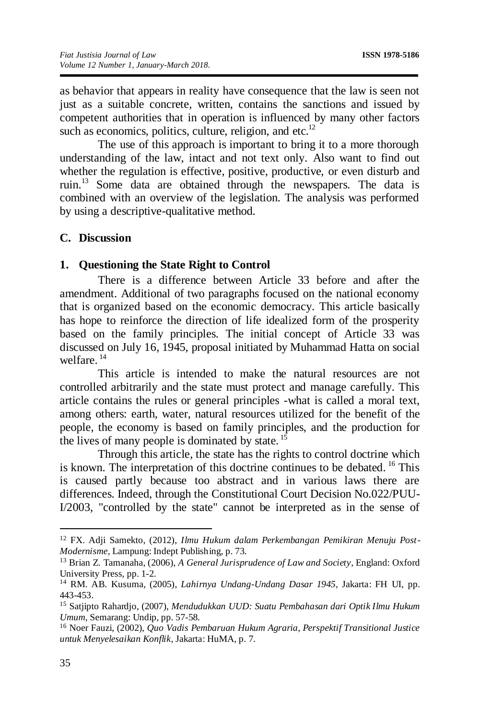as behavior that appears in reality have consequence that the law is seen not just as a suitable concrete, written, contains the sanctions and issued by competent authorities that in operation is influenced by many other factors such as economics, politics, culture, religion, and etc.<sup>12</sup>

The use of this approach is important to bring it to a more thorough understanding of the law, intact and not text only. Also want to find out whether the regulation is effective, positive, productive, or even disturb and ruin.<sup>13</sup> Some data are obtained through the newspapers. The data is combined with an overview of the legislation. The analysis was performed by using a descriptive-qualitative method.

#### **C. Discussion**

#### **1. Questioning the State Right to Control**

There is a difference between Article 33 before and after the amendment. Additional of two paragraphs focused on the national economy that is organized based on the economic democracy. This article basically has hope to reinforce the direction of life idealized form of the prosperity based on the family principles. The initial concept of Article 33 was discussed on July 16, 1945, proposal initiated by Muhammad Hatta on social  $w$ elfare<sup>14</sup>

This article is intended to make the natural resources are not controlled arbitrarily and the state must protect and manage carefully. This article contains the rules or general principles -what is called a moral text, among others: earth, water, natural resources utilized for the benefit of the people, the economy is based on family principles, and the production for the lives of many people is dominated by state.  $15$ 

Through this article, the state has the rights to control doctrine which is known. The interpretation of this doctrine continues to be debated. <sup>16</sup> This is caused partly because too abstract and in various laws there are differences. Indeed, through the Constitutional Court Decision No.022/PUU-I/2003, "controlled by the state" cannot be interpreted as in the sense of

<sup>12</sup> FX. Adji Samekto, (2012), *Ilmu Hukum dalam Perkembangan Pemikiran Menuju Post-Modernisme*, Lampung: Indept Publishing, p. 73.

<sup>13</sup> Brian Z. Tamanaha, (2006), *A General Jurisprudence of Law and Society*, England: Oxford University Press, pp. 1-2.

<sup>14</sup> RM. AB. Kusuma, (2005), *Lahirnya Undang-Undang Dasar 1945,* Jakarta: FH UI, pp. 443-453.

<sup>15</sup> Satjipto Rahardjo, (2007), *Mendudukkan UUD: Suatu Pembahasan dari Optik Ilmu Hukum Umum*, Semarang: Undip, pp. 57-58.

<sup>16</sup> Noer Fauzi, (2002), *Quo Vadis Pembaruan Hukum Agraria, Perspektif Transitional Justice untuk Menyelesaikan Konflik*, Jakarta: HuMA, p. 7.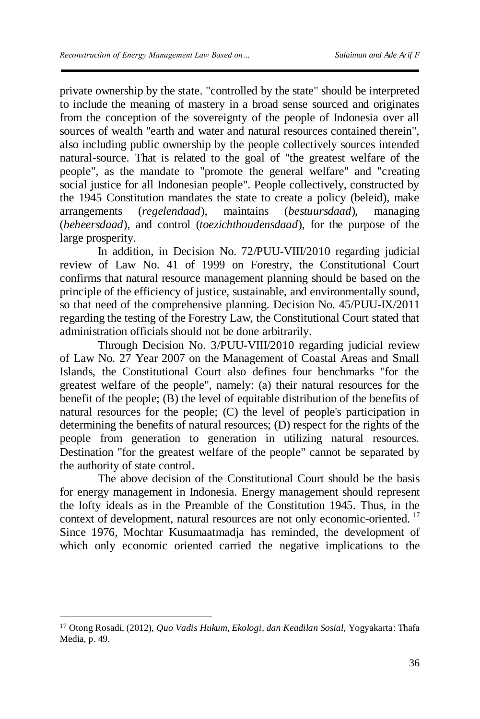private ownership by the state. "controlled by the state" should be interpreted to include the meaning of mastery in a broad sense sourced and originates from the conception of the sovereignty of the people of Indonesia over all sources of wealth "earth and water and natural resources contained therein", also including public ownership by the people collectively sources intended natural-source. That is related to the goal of "the greatest welfare of the people", as the mandate to "promote the general welfare" and "creating social justice for all Indonesian people". People collectively, constructed by the 1945 Constitution mandates the state to create a policy (beleid), make arrangements (*regelendaad*), maintains (*bestuursdaad*), managing (*beheersdaad*), and control (*toezichthoudensdaad*), for the purpose of the large prosperity.

In addition, in Decision No. 72/PUU-VIII/2010 regarding judicial review of Law No. 41 of 1999 on Forestry, the Constitutional Court confirms that natural resource management planning should be based on the principle of the efficiency of justice, sustainable, and environmentally sound, so that need of the comprehensive planning. Decision No. 45/PUU-IX/2011 regarding the testing of the Forestry Law, the Constitutional Court stated that administration officials should not be done arbitrarily.

Through Decision No. 3/PUU-VIII/2010 regarding judicial review of Law No. 27 Year 2007 on the Management of Coastal Areas and Small Islands, the Constitutional Court also defines four benchmarks "for the greatest welfare of the people", namely: (a) their natural resources for the benefit of the people;  $(B)$  the level of equitable distribution of the benefits of natural resources for the people; (C) the level of people's participation in determining the benefits of natural resources; (D) respect for the rights of the people from generation to generation in utilizing natural resources. Destination "for the greatest welfare of the people" cannot be separated by the authority of state control.

The above decision of the Constitutional Court should be the basis for energy management in Indonesia. Energy management should represent the lofty ideals as in the Preamble of the Constitution 1945. Thus, in the context of development, natural resources are not only economic-oriented.<sup>17</sup> Since 1976, Mochtar Kusumaatmadja has reminded, the development of which only economic oriented carried the negative implications to the

<sup>17</sup> Otong Rosadi, (2012), *Quo Vadis Hukum, Ekologi, dan Keadilan Sosial*, Yogyakarta: Thafa Media, p. 49.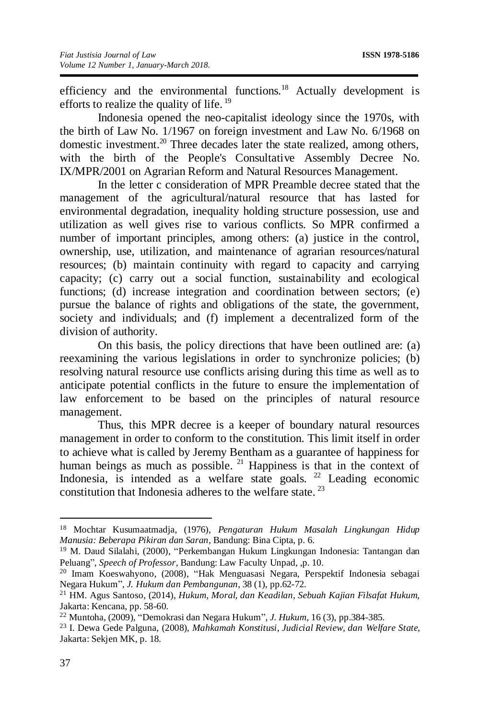efficiency and the environmental functions.<sup>18</sup> Actually development is efforts to realize the quality of life.<sup>19</sup>

Indonesia opened the neo-capitalist ideology since the 1970s, with the birth of Law No. 1/1967 on foreign investment and Law No. 6/1968 on domestic investment.<sup>20</sup> Three decades later the state realized, among others, with the birth of the People's Consultative Assembly Decree No. IX/MPR/2001 on Agrarian Reform and Natural Resources Management.

In the letter c consideration of MPR Preamble decree stated that the management of the agricultural/natural resource that has lasted for environmental degradation, inequality holding structure possession, use and utilization as well gives rise to various conflicts. So MPR confirmed a number of important principles, among others: (a) justice in the control, ownership, use, utilization, and maintenance of agrarian resources/natural resources; (b) maintain continuity with regard to capacity and carrying capacity; (c) carry out a social function, sustainability and ecological functions; (d) increase integration and coordination between sectors; (e) pursue the balance of rights and obligations of the state, the government, society and individuals; and (f) implement a decentralized form of the division of authority.

On this basis, the policy directions that have been outlined are: (a) reexamining the various legislations in order to synchronize policies; (b) resolving natural resource use conflicts arising during this time as well as to anticipate potential conflicts in the future to ensure the implementation of law enforcement to be based on the principles of natural resource management.

Thus, this MPR decree is a keeper of boundary natural resources management in order to conform to the constitution. This limit itself in order to achieve what is called by Jeremy Bentham as a guarantee of happiness for human beings as much as possible. <sup>21</sup> Happiness is that in the context of Indonesia, is intended as a welfare state goals. <sup>22</sup> Leading economic constitution that Indonesia adheres to the welfare state.<sup>23</sup>

<sup>18</sup> Mochtar Kusumaatmadja, (1976), *Pengaturan Hukum Masalah Lingkungan Hidup Manusia: Beberapa Pikiran dan Saran*, Bandung: Bina Cipta, p. 6.

<sup>19</sup> M. Daud Silalahi, (2000), "Perkembangan Hukum Lingkungan Indonesia: Tantangan dan Peluang", *Speech of Professor*, Bandung: Law Faculty Unpad, ,p. 10.

<sup>20</sup> Imam Koeswahyono, (2008), "Hak Menguasasi Negara, Perspektif Indonesia sebagai Negara Hukum", *J. Hukum dan Pembangunan*, 38 (1), pp.62-72.

<sup>21</sup> HM. Agus Santoso, (2014), *Hukum, Moral, dan Keadilan, Sebuah Kajian Filsafat Hukum,* Jakarta: Kencana, pp. 58-60.

<sup>22</sup> Muntoha, (2009), "Demokrasi dan Negara Hukum", *J. Hukum*, 16 (3), pp.384-385.

<sup>23</sup> I. Dewa Gede Palguna, (2008), *Mahkamah Konstitusi, Judicial Review, dan Welfare State,*  Jakarta: Sekjen MK, p. 18.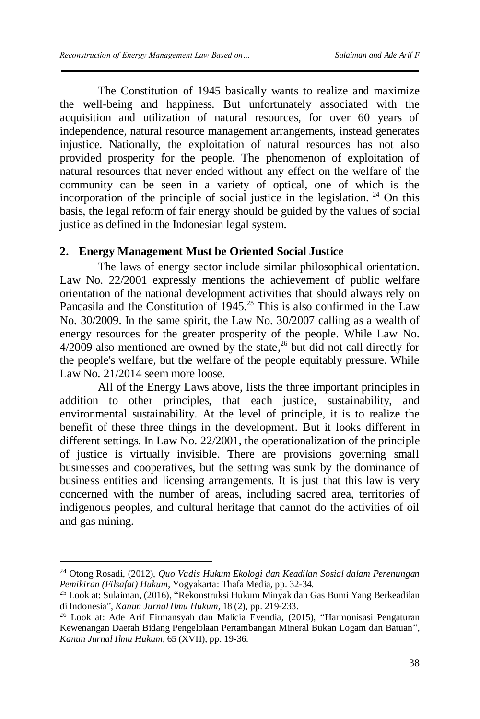The Constitution of 1945 basically wants to realize and maximize the well-being and happiness. But unfortunately associated with the acquisition and utilization of natural resources, for over 60 years of independence, natural resource management arrangements, instead generates injustice. Nationally, the exploitation of natural resources has not also provided prosperity for the people. The phenomenon of exploitation of natural resources that never ended without any effect on the welfare of the community can be seen in a variety of optical, one of which is the incorporation of the principle of social justice in the legislation.  $24$  On this basis, the legal reform of fair energy should be guided by the values of social justice as defined in the Indonesian legal system.

## **2. Energy Management Must be Oriented Social Justice**

The laws of energy sector include similar philosophical orientation. Law No. 22/2001 expressly mentions the achievement of public welfare orientation of the national development activities that should always rely on Pancasila and the Constitution of  $1945$ <sup>25</sup> This is also confirmed in the Law No. 30/2009. In the same spirit, the Law No. 30/2007 calling as a wealth of energy resources for the greater prosperity of the people. While Law No.  $4/2009$  also mentioned are owned by the state,<sup>26</sup> but did not call directly for the people's welfare, but the welfare of the people equitably pressure. While Law No. 21/2014 seem more loose.

All of the Energy Laws above, lists the three important principles in addition to other principles, that each justice, sustainability, and environmental sustainability. At the level of principle, it is to realize the benefit of these three things in the development. But it looks different in different settings. In Law No. 22/2001, the operationalization of the principle of justice is virtually invisible. There are provisions governing small businesses and cooperatives, but the setting was sunk by the dominance of business entities and licensing arrangements. It is just that this law is very concerned with the number of areas, including sacred area, territories of indigenous peoples, and cultural heritage that cannot do the activities of oil and gas mining.

<u>.</u>

<sup>24</sup> Otong Rosadi, (2012), *Quo Vadis Hukum Ekologi dan Keadilan Sosial dalam Perenungan Pemikiran (Filsafat) Hukum*, Yogyakarta: Thafa Media, pp. 32-34.

<sup>25</sup> Look at: Sulaiman, (2016), "Rekonstruksi Hukum Minyak dan Gas Bumi Yang Berkeadilan di Indonesia", *Kanun Jurnal Ilmu Hukum,* 18 (2), pp. 219-233.

<sup>26</sup> Look at: Ade Arif Firmansyah dan Malicia Evendia, (2015), "Harmonisasi Pengaturan Kewenangan Daerah Bidang Pengelolaan Pertambangan Mineral Bukan Logam dan Batuan", *Kanun Jurnal Ilmu Hukum*, 65 (XVII), pp. 19-36.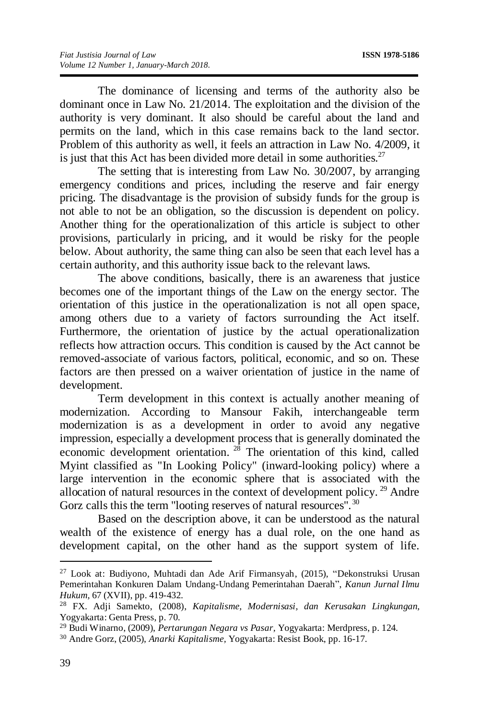The dominance of licensing and terms of the authority also be dominant once in Law No. 21/2014. The exploitation and the division of the authority is very dominant. It also should be careful about the land and permits on the land, which in this case remains back to the land sector. Problem of this authority as well, it feels an attraction in Law No. 4/2009, it is just that this Act has been divided more detail in some authorities.<sup>27</sup>

The setting that is interesting from Law No. 30/2007, by arranging emergency conditions and prices, including the reserve and fair energy pricing. The disadvantage is the provision of subsidy funds for the group is not able to not be an obligation, so the discussion is dependent on policy. Another thing for the operationalization of this article is subject to other provisions, particularly in pricing, and it would be risky for the people below. About authority, the same thing can also be seen that each level has a certain authority, and this authority issue back to the relevant laws.

The above conditions, basically, there is an awareness that justice becomes one of the important things of the Law on the energy sector. The orientation of this justice in the operationalization is not all open space, among others due to a variety of factors surrounding the Act itself. Furthermore, the orientation of justice by the actual operationalization reflects how attraction occurs. This condition is caused by the Act cannot be removed-associate of various factors, political, economic, and so on. These factors are then pressed on a waiver orientation of justice in the name of development.

Term development in this context is actually another meaning of modernization. According to Mansour Fakih, interchangeable term modernization is as a development in order to avoid any negative impression, especially a development process that is generally dominated the economic development orientation. <sup>28</sup> The orientation of this kind, called Myint classified as "In Looking Policy" (inward-looking policy) where a large intervention in the economic sphere that is associated with the allocation of natural resources in the context of development policy. <sup>29</sup> Andre Gorz calls this the term "looting reserves of natural resources".<sup>30</sup>

Based on the description above, it can be understood as the natural wealth of the existence of energy has a dual role, on the one hand as development capital, on the other hand as the support system of life.

<u>.</u>

<sup>27</sup> Look at: Budiyono, Muhtadi dan Ade Arif Firmansyah, (2015), "Dekonstruksi Urusan Pemerintahan Konkuren Dalam Undang-Undang Pemerintahan Daerah", *Kanun Jurnal Ilmu Hukum,* 67 (XVII), pp. 419-432.

<sup>28</sup> FX. Adji Samekto, (2008), *Kapitalisme, Modernisasi, dan Kerusakan Lingkungan,*  Yogyakarta: Genta Press, p. 70.

<sup>29</sup> Budi Winarno, (2009), *Pertarungan Negara vs Pasar,* Yogyakarta: Merdpress, p. 124.

<sup>30</sup> Andre Gorz, (2005), *Anarki Kapitalisme,* Yogyakarta: Resist Book, pp. 16-17.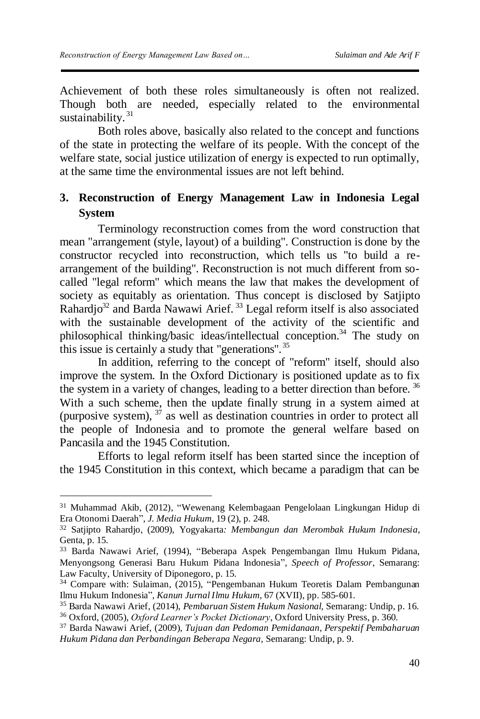<u>.</u>

Achievement of both these roles simultaneously is often not realized. Though both are needed, especially related to the environmental sustainability.<sup>31</sup>

Both roles above, basically also related to the concept and functions of the state in protecting the welfare of its people. With the concept of the welfare state, social justice utilization of energy is expected to run optimally, at the same time the environmental issues are not left behind.

## **3. Reconstruction of Energy Management Law in Indonesia Legal System**

Terminology reconstruction comes from the word construction that mean "arrangement (style, layout) of a building". Construction is done by the constructor recycled into reconstruction, which tells us "to build a rearrangement of the building". Reconstruction is not much different from socalled "legal reform" which means the law that makes the development of society as equitably as orientation. Thus concept is disclosed by Satjipto Rahardjo<sup>32</sup> and Barda Nawawi Arief.<sup>33</sup> Legal reform itself is also associated with the sustainable development of the activity of the scientific and philosophical thinking/basic ideas/intellectual conception.<sup>34</sup> The study on this issue is certainly a study that "generations".<sup>35</sup>

In addition, referring to the concept of "reform" itself, should also improve the system. In the Oxford Dictionary is positioned update as to fix the system in a variety of changes, leading to a better direction than before.<sup>36</sup> With a such scheme, then the update finally strung in a system aimed at (purposive system),  $3^7$  as well as destination countries in order to protect all the people of Indonesia and to promote the general welfare based on Pancasila and the 1945 Constitution.

Efforts to legal reform itself has been started since the inception of the 1945 Constitution in this context, which became a paradigm that can be

<sup>31</sup> Muhammad Akib, (2012), "Wewenang Kelembagaan Pengelolaan Lingkungan Hidup di Era Otonomi Daerah", *J. Media Hukum*, 19 (2), p. 248.

<sup>32</sup> Satjipto Rahardjo, (2009), Yogyakarta*: Membangun dan Merombak Hukum Indonesia*, Genta, p. 15.

<sup>33</sup> Barda Nawawi Arief, (1994), "Beberapa Aspek Pengembangan Ilmu Hukum Pidana, Menyongsong Generasi Baru Hukum Pidana Indonesia", *Speech of Professor*, Semarang: Law Faculty, University of Diponegoro, p. 15.

<sup>34</sup> Compare with: Sulaiman, (2015), "Pengembanan Hukum Teoretis Dalam Pembangunan Ilmu Hukum Indonesia", *Kanun Jurnal Ilmu Hukum*, 67 (XVII), pp. 585-601.

<sup>35</sup> Barda Nawawi Arief, (2014), *Pembaruan Sistem Hukum Nasional,* Semarang: Undip, p. 16.

<sup>36</sup> Oxford, (2005), *Oxford Learner's Pocket Dictionary*, Oxford University Press, p. 360.

<sup>37</sup> Barda Nawawi Arief, (2009), *Tujuan dan Pedoman Pemidanaan, Perspektif Pembaharuan Hukum Pidana dan Perbandingan Beberapa Negara,* Semarang: Undip, p. 9.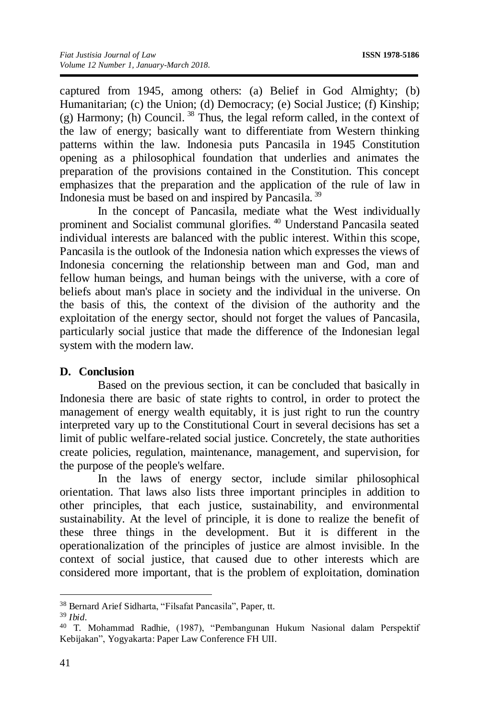captured from 1945, among others: (a) Belief in God Almighty; (b) Humanitarian; (c) the Union; (d) Democracy; (e) Social Justice; (f) Kinship; (g) Harmony; (h) Council.  $38$  Thus, the legal reform called, in the context of the law of energy; basically want to differentiate from Western thinking patterns within the law. Indonesia puts Pancasila in 1945 Constitution opening as a philosophical foundation that underlies and animates the preparation of the provisions contained in the Constitution. This concept emphasizes that the preparation and the application of the rule of law in Indonesia must be based on and inspired by Pancasila. <sup>39</sup>

In the concept of Pancasila, mediate what the West individually prominent and Socialist communal glorifies. <sup>40</sup> Understand Pancasila seated individual interests are balanced with the public interest. Within this scope, Pancasila is the outlook of the Indonesia nation which expresses the views of Indonesia concerning the relationship between man and God, man and fellow human beings, and human beings with the universe, with a core of beliefs about man's place in society and the individual in the universe. On the basis of this, the context of the division of the authority and the exploitation of the energy sector, should not forget the values of Pancasila, particularly social justice that made the difference of the Indonesian legal system with the modern law.

## **D. Conclusion**

Based on the previous section, it can be concluded that basically in Indonesia there are basic of state rights to control, in order to protect the management of energy wealth equitably, it is just right to run the country interpreted vary up to the Constitutional Court in several decisions has set a limit of public welfare-related social justice. Concretely, the state authorities create policies, regulation, maintenance, management, and supervision, for the purpose of the people's welfare.

In the laws of energy sector, include similar philosophical orientation. That laws also lists three important principles in addition to other principles, that each justice, sustainability, and environmental sustainability. At the level of principle, it is done to realize the benefit of these three things in the development. But it is different in the operationalization of the principles of justice are almost invisible. In the context of social justice, that caused due to other interests which are considered more important, that is the problem of exploitation, domination

<sup>38</sup> Bernard Arief Sidharta, "Filsafat Pancasila", Paper, tt.

<sup>39</sup> *Ibid.*

<sup>40</sup> T. Mohammad Radhie, (1987), "Pembangunan Hukum Nasional dalam Perspektif Kebijakan", Yogyakarta: Paper Law Conference FH UII.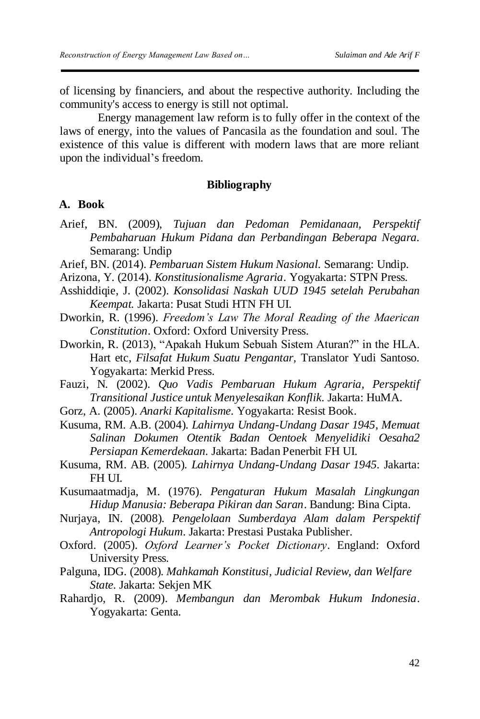of licensing by financiers, and about the respective authority. Including the community's access to energy is still not optimal.

Energy management law reform is to fully offer in the context of the laws of energy, into the values of Pancasila as the foundation and soul. The existence of this value is different with modern laws that are more reliant upon the individual's freedom.

## **Bibliography**

## **A. Book**

- Arief, BN. (2009), *Tujuan dan Pedoman Pemidanaan, Perspektif Pembaharuan Hukum Pidana dan Perbandingan Beberapa Negara.* Semarang: Undip
- Arief, BN. (2014). *Pembaruan Sistem Hukum Nasional.* Semarang: Undip.
- Arizona, Y. (2014). *Konstitusionalisme Agraria*. Yogyakarta: STPN Press.
- Asshiddiqie, J. (2002). *Konsolidasi Naskah UUD 1945 setelah Perubahan Keempat.* Jakarta: Pusat Studi HTN FH UI.
- Dworkin, R. (1996). *Freedom's Law The Moral Reading of the Maerican Constitution*. Oxford: Oxford University Press.
- Dworkin, R. (2013), "Apakah Hukum Sebuah Sistem Aturan?" in the HLA. Hart etc, *Filsafat Hukum Suatu Pengantar,* Translator Yudi Santoso. Yogyakarta: Merkid Press.

Fauzi, N. (2002). *Quo Vadis Pembaruan Hukum Agraria, Perspektif Transitional Justice untuk Menyelesaikan Konflik*. Jakarta: HuMA.

Gorz, A. (2005). *Anarki Kapitalisme.* Yogyakarta: Resist Book.

Kusuma, RM. A.B. (2004). *Lahirnya Undang-Undang Dasar 1945, Memuat Salinan Dokumen Otentik Badan Oentoek Menyelidiki Oesaha2 Persiapan Kemerdekaan.* Jakarta: Badan Penerbit FH UI.

Kusuma, RM. AB. (2005). *Lahirnya Undang-Undang Dasar 1945.* Jakarta: FH UI.

Kusumaatmadja, M. (1976). *Pengaturan Hukum Masalah Lingkungan Hidup Manusia: Beberapa Pikiran dan Saran*. Bandung: Bina Cipta.

- Nurjaya, IN. (2008). *Pengelolaan Sumberdaya Alam dalam Perspektif Antropologi Hukum*. Jakarta: Prestasi Pustaka Publisher.
- Oxford. (2005). *Oxford Learner's Pocket Dictionary*. England: Oxford University Press.
- Palguna, IDG. (2008). *Mahkamah Konstitusi, Judicial Review, dan Welfare State.* Jakarta: Sekjen MK
- Rahardjo, R. (2009). *Membangun dan Merombak Hukum Indonesia*. Yogyakarta: Genta.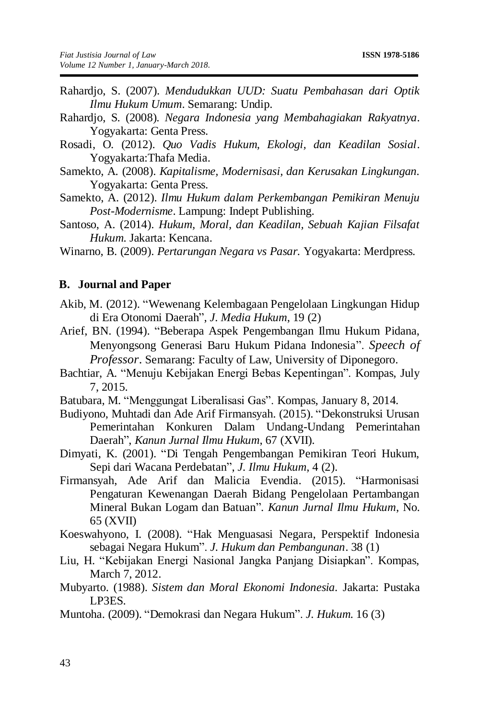- Rahardjo, S. (2007). *Mendudukkan UUD: Suatu Pembahasan dari Optik Ilmu Hukum Umum*. Semarang: Undip.
- Rahardjo, S. (2008). *Negara Indonesia yang Membahagiakan Rakyatnya*. Yogyakarta: Genta Press.
- Rosadi, O. (2012). *Quo Vadis Hukum, Ekologi, dan Keadilan Sosial*. Yogyakarta:Thafa Media.
- Samekto, A. (2008). *Kapitalisme, Modernisasi, dan Kerusakan Lingkungan.* Yogyakarta: Genta Press.
- Samekto, A. (2012). *Ilmu Hukum dalam Perkembangan Pemikiran Menuju Post-Modernisme*. Lampung: Indept Publishing.
- Santoso, A. (2014). *Hukum, Moral, dan Keadilan, Sebuah Kajian Filsafat Hukum.* Jakarta: Kencana.
- Winarno, B. (2009). *Pertarungan Negara vs Pasar.* Yogyakarta: Merdpress.

## **B. Journal and Paper**

- Akib, M. (2012). "Wewenang Kelembagaan Pengelolaan Lingkungan Hidup di Era Otonomi Daerah", *J. Media Hukum*, 19 (2)
- Arief, BN. (1994). "Beberapa Aspek Pengembangan Ilmu Hukum Pidana, Menyongsong Generasi Baru Hukum Pidana Indonesia". *Speech of Professor*. Semarang: Faculty of Law, University of Diponegoro.
- Bachtiar, A. "Menuju Kebijakan Energi Bebas Kepentingan". Kompas, July 7, 2015.
- Batubara, M. "Menggungat Liberalisasi Gas". Kompas, January 8, 2014.
- Budiyono, Muhtadi dan Ade Arif Firmansyah. (2015). "Dekonstruksi Urusan Pemerintahan Konkuren Dalam Undang-Undang Pemerintahan Daerah", *Kanun Jurnal Ilmu Hukum*, 67 (XVII).
- Dimyati, K. (2001). "Di Tengah Pengembangan Pemikiran Teori Hukum, Sepi dari Wacana Perdebatan", *J. Ilmu Hukum*, 4 (2).
- Firmansyah, Ade Arif dan Malicia Evendia. (2015). "Harmonisasi Pengaturan Kewenangan Daerah Bidang Pengelolaan Pertambangan Mineral Bukan Logam dan Batuan". *Kanun Jurnal Ilmu Hukum*, No. 65 (XVII)
- Koeswahyono, I. (2008). "Hak Menguasasi Negara, Perspektif Indonesia sebagai Negara Hukum". *J. Hukum dan Pembangunan*. 38 (1)
- Liu, H. "Kebijakan Energi Nasional Jangka Panjang Disiapkan". Kompas, March 7, 2012.
- Mubyarto. (1988). *Sistem dan Moral Ekonomi Indonesia.* Jakarta: Pustaka LP3ES.
- Muntoha. (2009). "Demokrasi dan Negara Hukum". *J. Hukum*. 16 (3)